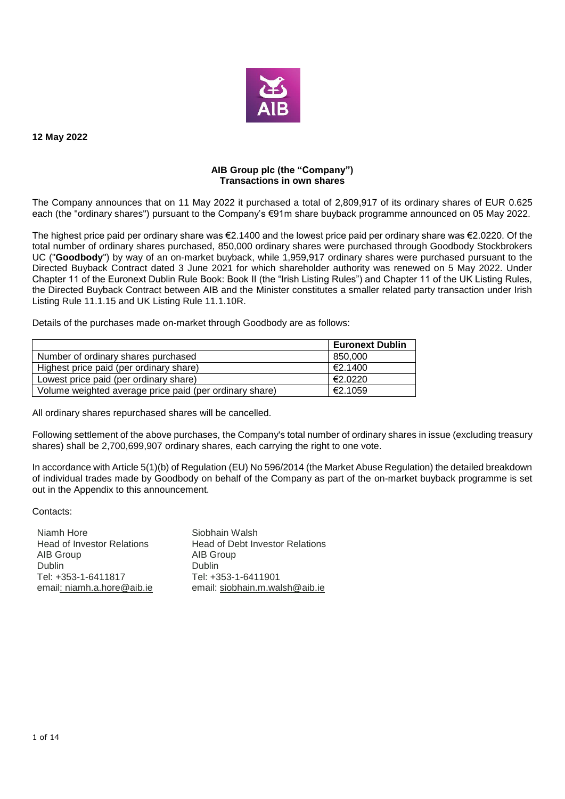

**12 May 2022**

## **AIB Group plc (the "Company") Transactions in own shares**

The Company announces that on 11 May 2022 it purchased a total of 2,809,917 of its ordinary shares of EUR 0.625 each (the "ordinary shares") pursuant to the Company's €91m share buyback programme announced on 05 May 2022.

The highest price paid per ordinary share was €2.1400 and the lowest price paid per ordinary share was €2.0220. Of the total number of ordinary shares purchased, 850,000 ordinary shares were purchased through Goodbody Stockbrokers UC ("**Goodbody**") by way of an on-market buyback, while 1,959,917 ordinary shares were purchased pursuant to the Directed Buyback Contract dated 3 June 2021 for which shareholder authority was renewed on 5 May 2022. Under Chapter 11 of the Euronext Dublin Rule Book: Book II (the "Irish Listing Rules") and Chapter 11 of the UK Listing Rules, the Directed Buyback Contract between AIB and the Minister constitutes a smaller related party transaction under Irish Listing Rule 11.1.15 and UK Listing Rule 11.1.10R.

Details of the purchases made on-market through Goodbody are as follows:

|                                                         | <b>Euronext Dublin</b> |
|---------------------------------------------------------|------------------------|
| Number of ordinary shares purchased                     | 850,000                |
| Highest price paid (per ordinary share)                 | €2.1400                |
| Lowest price paid (per ordinary share)                  | €2.0220                |
| Volume weighted average price paid (per ordinary share) | €2.1059                |

All ordinary shares repurchased shares will be cancelled.

Following settlement of the above purchases, the Company's total number of ordinary shares in issue (excluding treasury shares) shall be 2,700,699,907 ordinary shares, each carrying the right to one vote.

In accordance with Article 5(1)(b) of Regulation (EU) No 596/2014 (the Market Abuse Regulation) the detailed breakdown of individual trades made by Goodbody on behalf of the Company as part of the on-market buyback programme is set out in the Appendix to this announcement.

Contacts:

Niamh Hore Siobhain Walsh AIB Group and AIB Group<br>
Dublin **Dublin** Tel: +353-1-6411817 email: niamh.a.hore@aib.ie email: siobhain.m.walsh@aib.ie

Head of Investor Relations Head of Debt Investor Relations Dublin<br>Tel: +353-1-6411901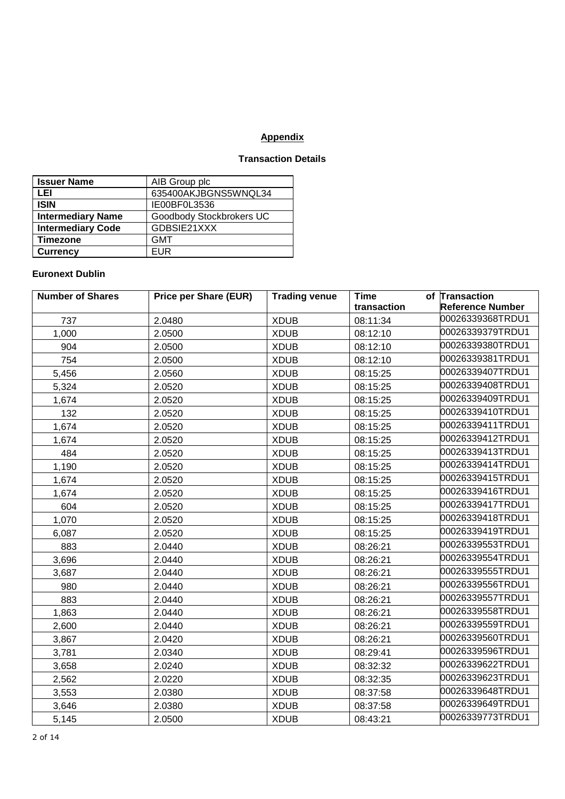## **Appendix**

## **Transaction Details**

| <b>Issuer Name</b>       | AIB Group plc            |
|--------------------------|--------------------------|
| LEI                      | 635400AKJBGNS5WNQL34     |
| <b>ISIN</b>              | IE00BF0L3536             |
| <b>Intermediary Name</b> | Goodbody Stockbrokers UC |
| <b>Intermediary Code</b> | GDBSIE21XXX              |
| <b>Timezone</b>          | <b>GMT</b>               |
| <b>Currency</b>          | FUR                      |

## **Euronext Dublin**

| <b>Number of Shares</b> | <b>Price per Share (EUR)</b> | <b>Trading venue</b> | <b>Time</b> | of Transaction          |
|-------------------------|------------------------------|----------------------|-------------|-------------------------|
|                         |                              |                      | transaction | <b>Reference Number</b> |
| 737                     | 2.0480                       | <b>XDUB</b>          | 08:11:34    | 00026339368TRDU1        |
| 1,000                   | 2.0500                       | <b>XDUB</b>          | 08:12:10    | 00026339379TRDU1        |
| 904                     | 2.0500                       | <b>XDUB</b>          | 08:12:10    | 00026339380TRDU1        |
| 754                     | 2.0500                       | <b>XDUB</b>          | 08:12:10    | 00026339381TRDU1        |
| 5,456                   | 2.0560                       | <b>XDUB</b>          | 08:15:25    | 00026339407TRDU1        |
| 5,324                   | 2.0520                       | <b>XDUB</b>          | 08:15:25    | 00026339408TRDU1        |
| 1,674                   | 2.0520                       | <b>XDUB</b>          | 08:15:25    | 00026339409TRDU1        |
| 132                     | 2.0520                       | <b>XDUB</b>          | 08:15:25    | 00026339410TRDU1        |
| 1,674                   | 2.0520                       | <b>XDUB</b>          | 08:15:25    | 00026339411TRDU1        |
| 1,674                   | 2.0520                       | <b>XDUB</b>          | 08:15:25    | 00026339412TRDU1        |
| 484                     | 2.0520                       | <b>XDUB</b>          | 08:15:25    | 00026339413TRDU1        |
| 1,190                   | 2.0520                       | <b>XDUB</b>          | 08:15:25    | 00026339414TRDU1        |
| 1,674                   | 2.0520                       | <b>XDUB</b>          | 08:15:25    | 00026339415TRDU1        |
| 1,674                   | 2.0520                       | <b>XDUB</b>          | 08:15:25    | 00026339416TRDU1        |
| 604                     | 2.0520                       | <b>XDUB</b>          | 08:15:25    | 00026339417TRDU1        |
| 1,070                   | 2.0520                       | <b>XDUB</b>          | 08:15:25    | 00026339418TRDU1        |
| 6,087                   | 2.0520                       | <b>XDUB</b>          | 08:15:25    | 00026339419TRDU1        |
| 883                     | 2.0440                       | <b>XDUB</b>          | 08:26:21    | 00026339553TRDU1        |
| 3,696                   | 2.0440                       | <b>XDUB</b>          | 08:26:21    | 00026339554TRDU1        |
| 3,687                   | 2.0440                       | <b>XDUB</b>          | 08:26:21    | 00026339555TRDU1        |
| 980                     | 2.0440                       | <b>XDUB</b>          | 08:26:21    | 00026339556TRDU1        |
| 883                     | 2.0440                       | <b>XDUB</b>          | 08:26:21    | 00026339557TRDU1        |
| 1,863                   | 2.0440                       | <b>XDUB</b>          | 08:26:21    | 00026339558TRDU1        |
| 2,600                   | 2.0440                       | <b>XDUB</b>          | 08:26:21    | 00026339559TRDU1        |
| 3,867                   | 2.0420                       | <b>XDUB</b>          | 08:26:21    | 00026339560TRDU1        |
| 3,781                   | 2.0340                       | <b>XDUB</b>          | 08:29:41    | 00026339596TRDU1        |
| 3,658                   | 2.0240                       | <b>XDUB</b>          | 08:32:32    | 00026339622TRDU1        |
| 2,562                   | 2.0220                       | <b>XDUB</b>          | 08:32:35    | 00026339623TRDU1        |
| 3,553                   | 2.0380                       | <b>XDUB</b>          | 08:37:58    | 00026339648TRDU1        |
| 3,646                   | 2.0380                       | <b>XDUB</b>          | 08:37:58    | 00026339649TRDU1        |
| 5,145                   | 2.0500                       | <b>XDUB</b>          | 08:43:21    | 00026339773TRDU1        |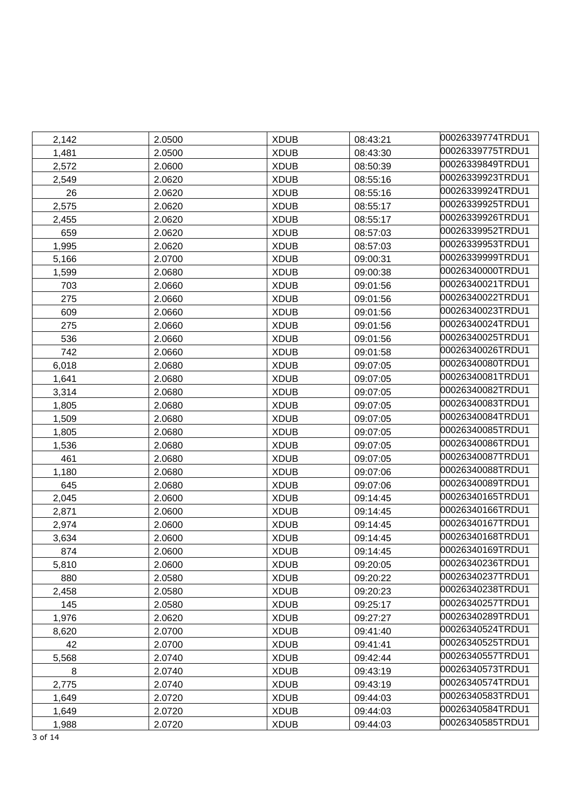| 2,142 | 2.0500 | <b>XDUB</b> | 08:43:21 | 00026339774TRDU1 |
|-------|--------|-------------|----------|------------------|
| 1,481 | 2.0500 | <b>XDUB</b> | 08:43:30 | 00026339775TRDU1 |
| 2,572 | 2.0600 | <b>XDUB</b> | 08:50:39 | 00026339849TRDU1 |
| 2,549 | 2.0620 | <b>XDUB</b> | 08:55:16 | 00026339923TRDU1 |
| 26    | 2.0620 | <b>XDUB</b> | 08:55:16 | 00026339924TRDU1 |
| 2,575 | 2.0620 | <b>XDUB</b> | 08:55:17 | 00026339925TRDU1 |
| 2,455 | 2.0620 | <b>XDUB</b> | 08:55:17 | 00026339926TRDU1 |
| 659   | 2.0620 | <b>XDUB</b> | 08:57:03 | 00026339952TRDU1 |
| 1,995 | 2.0620 | <b>XDUB</b> | 08:57:03 | 00026339953TRDU1 |
| 5,166 | 2.0700 | <b>XDUB</b> | 09:00:31 | 00026339999TRDU1 |
| 1,599 | 2.0680 | <b>XDUB</b> | 09:00:38 | 00026340000TRDU1 |
| 703   | 2.0660 | <b>XDUB</b> | 09:01:56 | 00026340021TRDU1 |
| 275   | 2.0660 | <b>XDUB</b> | 09:01:56 | 00026340022TRDU1 |
| 609   | 2.0660 | <b>XDUB</b> | 09:01:56 | 00026340023TRDU1 |
| 275   | 2.0660 | <b>XDUB</b> | 09:01:56 | 00026340024TRDU1 |
| 536   | 2.0660 | <b>XDUB</b> | 09:01:56 | 00026340025TRDU1 |
| 742   | 2.0660 | <b>XDUB</b> | 09:01:58 | 00026340026TRDU1 |
| 6,018 | 2.0680 | <b>XDUB</b> | 09:07:05 | 00026340080TRDU1 |
| 1,641 | 2.0680 | <b>XDUB</b> | 09:07:05 | 00026340081TRDU1 |
| 3,314 | 2.0680 | <b>XDUB</b> | 09:07:05 | 00026340082TRDU1 |
| 1,805 | 2.0680 | <b>XDUB</b> | 09:07:05 | 00026340083TRDU1 |
| 1,509 | 2.0680 | <b>XDUB</b> | 09:07:05 | 00026340084TRDU1 |
| 1,805 | 2.0680 | <b>XDUB</b> | 09:07:05 | 00026340085TRDU1 |
| 1,536 | 2.0680 | <b>XDUB</b> | 09:07:05 | 00026340086TRDU1 |
| 461   | 2.0680 | <b>XDUB</b> | 09:07:05 | 00026340087TRDU1 |
| 1,180 | 2.0680 | <b>XDUB</b> | 09:07:06 | 00026340088TRDU1 |
| 645   | 2.0680 | <b>XDUB</b> | 09:07:06 | 00026340089TRDU1 |
| 2,045 | 2.0600 | <b>XDUB</b> | 09:14:45 | 00026340165TRDU1 |
| 2,871 | 2.0600 | <b>XDUB</b> | 09:14:45 | 00026340166TRDU1 |
| 2,974 | 2.0600 | <b>XDUB</b> | 09:14:45 | 00026340167TRDU1 |
| 3,634 | 2.0600 | <b>XDUB</b> | 09:14:45 | 00026340168TRDU1 |
| 874   | 2.0600 | <b>XDUB</b> | 09:14:45 | 00026340169TRDU1 |
| 5,810 | 2.0600 | <b>XDUB</b> | 09:20:05 | 00026340236TRDU1 |
| 880   | 2.0580 | <b>XDUB</b> | 09:20:22 | 00026340237TRDU1 |
| 2,458 | 2.0580 | <b>XDUB</b> | 09:20:23 | 00026340238TRDU1 |
| 145   | 2.0580 | <b>XDUB</b> | 09:25:17 | 00026340257TRDU1 |
| 1,976 | 2.0620 | <b>XDUB</b> | 09:27:27 | 00026340289TRDU1 |
| 8,620 | 2.0700 | <b>XDUB</b> | 09:41:40 | 00026340524TRDU1 |
| 42    | 2.0700 | <b>XDUB</b> | 09:41:41 | 00026340525TRDU1 |
| 5,568 | 2.0740 | <b>XDUB</b> | 09:42:44 | 00026340557TRDU1 |
| 8     | 2.0740 | <b>XDUB</b> | 09:43:19 | 00026340573TRDU1 |
| 2,775 | 2.0740 | <b>XDUB</b> | 09:43:19 | 00026340574TRDU1 |
| 1,649 | 2.0720 | <b>XDUB</b> | 09:44:03 | 00026340583TRDU1 |
| 1,649 | 2.0720 | <b>XDUB</b> | 09:44:03 | 00026340584TRDU1 |
| 1,988 | 2.0720 | <b>XDUB</b> | 09:44:03 | 00026340585TRDU1 |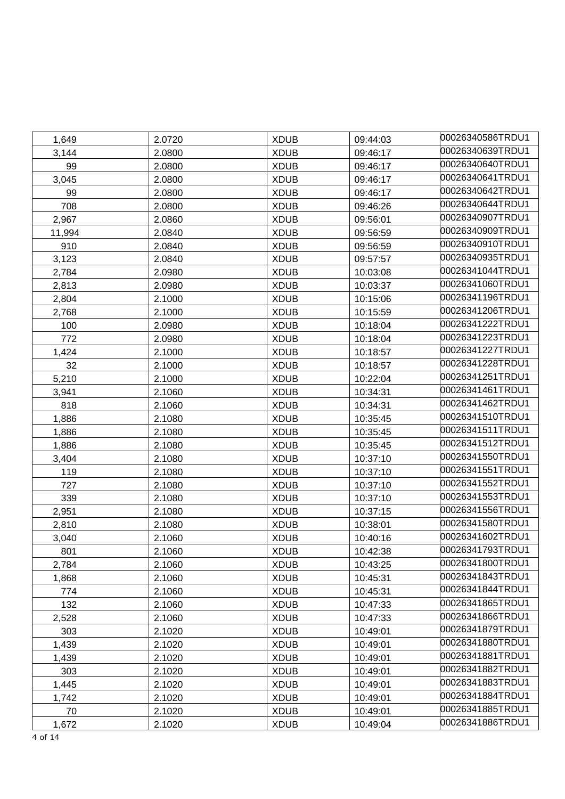| 1,649  | 2.0720 | <b>XDUB</b> | 09:44:03 | 00026340586TRDU1 |
|--------|--------|-------------|----------|------------------|
| 3,144  | 2.0800 | <b>XDUB</b> | 09:46:17 | 00026340639TRDU1 |
| 99     | 2.0800 | <b>XDUB</b> | 09:46:17 | 00026340640TRDU1 |
| 3,045  | 2.0800 | <b>XDUB</b> | 09:46:17 | 00026340641TRDU1 |
| 99     | 2.0800 | <b>XDUB</b> | 09:46:17 | 00026340642TRDU1 |
| 708    | 2.0800 | <b>XDUB</b> | 09:46:26 | 00026340644TRDU1 |
| 2,967  | 2.0860 | <b>XDUB</b> | 09:56:01 | 00026340907TRDU1 |
| 11,994 | 2.0840 | <b>XDUB</b> | 09:56:59 | 00026340909TRDU1 |
| 910    | 2.0840 | <b>XDUB</b> | 09:56:59 | 00026340910TRDU1 |
| 3,123  | 2.0840 | <b>XDUB</b> | 09:57:57 | 00026340935TRDU1 |
| 2,784  | 2.0980 | <b>XDUB</b> | 10:03:08 | 00026341044TRDU1 |
| 2,813  | 2.0980 | <b>XDUB</b> | 10:03:37 | 00026341060TRDU1 |
| 2,804  | 2.1000 | <b>XDUB</b> | 10:15:06 | 00026341196TRDU1 |
| 2,768  | 2.1000 | <b>XDUB</b> | 10:15:59 | 00026341206TRDU1 |
| 100    | 2.0980 | <b>XDUB</b> | 10:18:04 | 00026341222TRDU1 |
| 772    | 2.0980 | <b>XDUB</b> | 10:18:04 | 00026341223TRDU1 |
| 1,424  | 2.1000 | <b>XDUB</b> | 10:18:57 | 00026341227TRDU1 |
| 32     | 2.1000 | <b>XDUB</b> | 10:18:57 | 00026341228TRDU1 |
| 5,210  | 2.1000 | <b>XDUB</b> | 10:22:04 | 00026341251TRDU1 |
| 3,941  | 2.1060 | <b>XDUB</b> | 10:34:31 | 00026341461TRDU1 |
| 818    | 2.1060 | <b>XDUB</b> | 10:34:31 | 00026341462TRDU1 |
| 1,886  | 2.1080 | <b>XDUB</b> | 10:35:45 | 00026341510TRDU1 |
| 1,886  | 2.1080 | <b>XDUB</b> | 10:35:45 | 00026341511TRDU1 |
| 1,886  | 2.1080 | <b>XDUB</b> | 10:35:45 | 00026341512TRDU1 |
| 3,404  | 2.1080 | <b>XDUB</b> | 10:37:10 | 00026341550TRDU1 |
| 119    | 2.1080 | <b>XDUB</b> | 10:37:10 | 00026341551TRDU1 |
| 727    | 2.1080 | <b>XDUB</b> | 10:37:10 | 00026341552TRDU1 |
| 339    | 2.1080 | <b>XDUB</b> | 10:37:10 | 00026341553TRDU1 |
| 2,951  | 2.1080 | <b>XDUB</b> | 10:37:15 | 00026341556TRDU1 |
| 2,810  | 2.1080 | <b>XDUB</b> | 10:38:01 | 00026341580TRDU1 |
| 3,040  | 2.1060 | <b>XDUB</b> | 10:40:16 | 00026341602TRDU1 |
| 801    | 2.1060 | <b>XDUB</b> | 10:42:38 | 00026341793TRDU1 |
| 2,784  | 2.1060 | <b>XDUB</b> | 10:43:25 | 00026341800TRDU1 |
| 1,868  | 2.1060 | <b>XDUB</b> | 10:45:31 | 00026341843TRDU1 |
| 774    | 2.1060 | <b>XDUB</b> | 10:45:31 | 00026341844TRDU1 |
| 132    | 2.1060 | <b>XDUB</b> | 10:47:33 | 00026341865TRDU1 |
| 2,528  | 2.1060 | <b>XDUB</b> | 10:47:33 | 00026341866TRDU1 |
| 303    | 2.1020 | <b>XDUB</b> | 10:49:01 | 00026341879TRDU1 |
| 1,439  | 2.1020 | <b>XDUB</b> | 10:49:01 | 00026341880TRDU1 |
| 1,439  | 2.1020 | <b>XDUB</b> | 10:49:01 | 00026341881TRDU1 |
| 303    | 2.1020 | <b>XDUB</b> | 10:49:01 | 00026341882TRDU1 |
| 1,445  | 2.1020 | <b>XDUB</b> | 10:49:01 | 00026341883TRDU1 |
| 1,742  | 2.1020 | <b>XDUB</b> | 10:49:01 | 00026341884TRDU1 |
| 70     | 2.1020 | <b>XDUB</b> | 10:49:01 | 00026341885TRDU1 |
| 1,672  | 2.1020 | <b>XDUB</b> | 10:49:04 | 00026341886TRDU1 |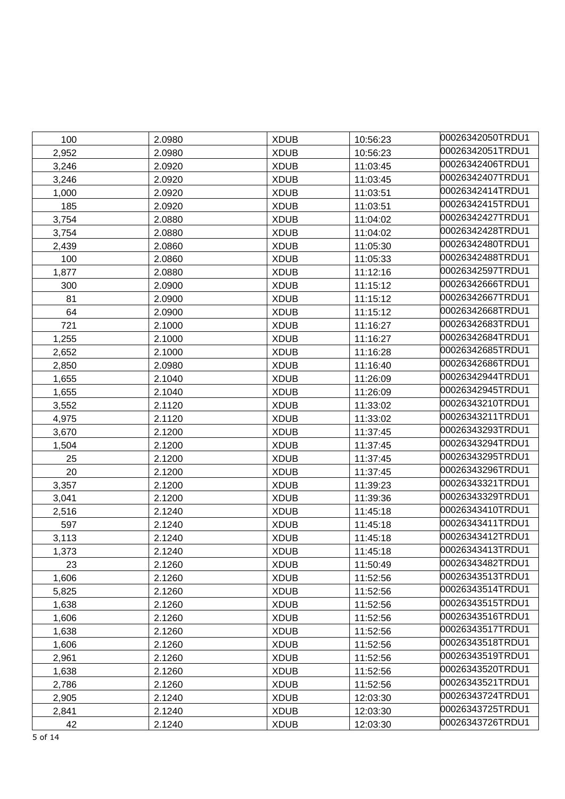| 100   | 2.0980 | <b>XDUB</b> | 10:56:23 | 00026342050TRDU1 |
|-------|--------|-------------|----------|------------------|
| 2,952 | 2.0980 | <b>XDUB</b> | 10:56:23 | 00026342051TRDU1 |
| 3,246 | 2.0920 | <b>XDUB</b> | 11:03:45 | 00026342406TRDU1 |
| 3,246 | 2.0920 | <b>XDUB</b> | 11:03:45 | 00026342407TRDU1 |
| 1,000 | 2.0920 | <b>XDUB</b> | 11:03:51 | 00026342414TRDU1 |
| 185   | 2.0920 | <b>XDUB</b> | 11:03:51 | 00026342415TRDU1 |
| 3,754 | 2.0880 | <b>XDUB</b> | 11:04:02 | 00026342427TRDU1 |
| 3,754 | 2.0880 | <b>XDUB</b> | 11:04:02 | 00026342428TRDU1 |
| 2,439 | 2.0860 | <b>XDUB</b> | 11:05:30 | 00026342480TRDU1 |
| 100   | 2.0860 | <b>XDUB</b> | 11:05:33 | 00026342488TRDU1 |
| 1,877 | 2.0880 | <b>XDUB</b> | 11:12:16 | 00026342597TRDU1 |
| 300   | 2.0900 | <b>XDUB</b> | 11:15:12 | 00026342666TRDU1 |
| 81    | 2.0900 | <b>XDUB</b> | 11:15:12 | 00026342667TRDU1 |
| 64    | 2.0900 | <b>XDUB</b> | 11:15:12 | 00026342668TRDU1 |
| 721   | 2.1000 | <b>XDUB</b> | 11:16:27 | 00026342683TRDU1 |
| 1,255 | 2.1000 | <b>XDUB</b> | 11:16:27 | 00026342684TRDU1 |
| 2,652 | 2.1000 | <b>XDUB</b> | 11:16:28 | 00026342685TRDU1 |
| 2,850 | 2.0980 | <b>XDUB</b> | 11:16:40 | 00026342686TRDU1 |
| 1,655 | 2.1040 | <b>XDUB</b> | 11:26:09 | 00026342944TRDU1 |
| 1,655 | 2.1040 | <b>XDUB</b> | 11:26:09 | 00026342945TRDU1 |
| 3,552 | 2.1120 | <b>XDUB</b> | 11:33:02 | 00026343210TRDU1 |
| 4,975 | 2.1120 | <b>XDUB</b> | 11:33:02 | 00026343211TRDU1 |
| 3,670 | 2.1200 | <b>XDUB</b> | 11:37:45 | 00026343293TRDU1 |
| 1,504 | 2.1200 | <b>XDUB</b> | 11:37:45 | 00026343294TRDU1 |
| 25    | 2.1200 | <b>XDUB</b> | 11:37:45 | 00026343295TRDU1 |
| 20    | 2.1200 | <b>XDUB</b> | 11:37:45 | 00026343296TRDU1 |
| 3,357 | 2.1200 | <b>XDUB</b> | 11:39:23 | 00026343321TRDU1 |
| 3,041 | 2.1200 | <b>XDUB</b> | 11:39:36 | 00026343329TRDU1 |
| 2,516 | 2.1240 | <b>XDUB</b> | 11:45:18 | 00026343410TRDU1 |
| 597   | 2.1240 | <b>XDUB</b> | 11:45:18 | 00026343411TRDU1 |
| 3,113 | 2.1240 | <b>XDUB</b> | 11:45:18 | 00026343412TRDU1 |
| 1,373 | 2.1240 | <b>XDUB</b> | 11:45:18 | 00026343413TRDU1 |
| 23    | 2.1260 | <b>XDUB</b> | 11:50:49 | 00026343482TRDU1 |
| 1,606 | 2.1260 | <b>XDUB</b> | 11:52:56 | 00026343513TRDU1 |
| 5,825 | 2.1260 | <b>XDUB</b> | 11:52:56 | 00026343514TRDU1 |
| 1,638 | 2.1260 | <b>XDUB</b> | 11:52:56 | 00026343515TRDU1 |
| 1,606 | 2.1260 | <b>XDUB</b> | 11:52:56 | 00026343516TRDU1 |
| 1,638 | 2.1260 | <b>XDUB</b> | 11:52:56 | 00026343517TRDU1 |
| 1,606 | 2.1260 | <b>XDUB</b> | 11:52:56 | 00026343518TRDU1 |
| 2,961 | 2.1260 | <b>XDUB</b> | 11:52:56 | 00026343519TRDU1 |
| 1,638 | 2.1260 | <b>XDUB</b> | 11:52:56 | 00026343520TRDU1 |
| 2,786 | 2.1260 | <b>XDUB</b> | 11:52:56 | 00026343521TRDU1 |
| 2,905 | 2.1240 | <b>XDUB</b> | 12:03:30 | 00026343724TRDU1 |
| 2,841 | 2.1240 | <b>XDUB</b> | 12:03:30 | 00026343725TRDU1 |
| 42    | 2.1240 | <b>XDUB</b> | 12:03:30 | 00026343726TRDU1 |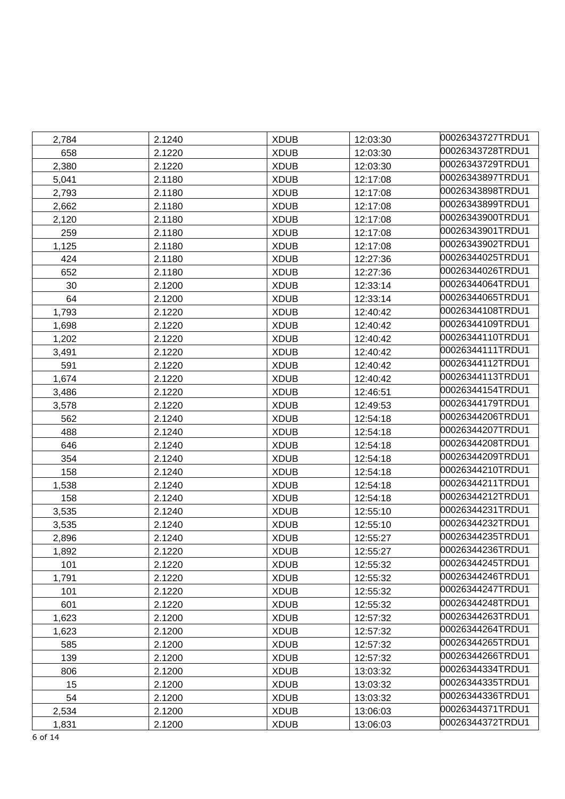| 2,784 | 2.1240 | <b>XDUB</b> | 12:03:30 | 00026343727TRDU1 |
|-------|--------|-------------|----------|------------------|
| 658   | 2.1220 | <b>XDUB</b> | 12:03:30 | 00026343728TRDU1 |
| 2,380 | 2.1220 | <b>XDUB</b> | 12:03:30 | 00026343729TRDU1 |
| 5,041 | 2.1180 | <b>XDUB</b> | 12:17:08 | 00026343897TRDU1 |
| 2,793 | 2.1180 | <b>XDUB</b> | 12:17:08 | 00026343898TRDU1 |
| 2,662 | 2.1180 | <b>XDUB</b> | 12:17:08 | 00026343899TRDU1 |
| 2,120 | 2.1180 | <b>XDUB</b> | 12:17:08 | 00026343900TRDU1 |
| 259   | 2.1180 | <b>XDUB</b> | 12:17:08 | 00026343901TRDU1 |
| 1,125 | 2.1180 | <b>XDUB</b> | 12:17:08 | 00026343902TRDU1 |
| 424   | 2.1180 | <b>XDUB</b> | 12:27:36 | 00026344025TRDU1 |
| 652   | 2.1180 | <b>XDUB</b> | 12:27:36 | 00026344026TRDU1 |
| 30    | 2.1200 | <b>XDUB</b> | 12:33:14 | 00026344064TRDU1 |
| 64    | 2.1200 | <b>XDUB</b> | 12:33:14 | 00026344065TRDU1 |
| 1,793 | 2.1220 | <b>XDUB</b> | 12:40:42 | 00026344108TRDU1 |
| 1,698 | 2.1220 | <b>XDUB</b> | 12:40:42 | 00026344109TRDU1 |
| 1,202 | 2.1220 | <b>XDUB</b> | 12:40:42 | 00026344110TRDU1 |
| 3,491 | 2.1220 | <b>XDUB</b> | 12:40:42 | 00026344111TRDU1 |
| 591   | 2.1220 | <b>XDUB</b> | 12:40:42 | 00026344112TRDU1 |
| 1,674 | 2.1220 | <b>XDUB</b> | 12:40:42 | 00026344113TRDU1 |
| 3,486 | 2.1220 | <b>XDUB</b> | 12:46:51 | 00026344154TRDU1 |
| 3,578 | 2.1220 | <b>XDUB</b> | 12:49:53 | 00026344179TRDU1 |
| 562   | 2.1240 | <b>XDUB</b> | 12:54:18 | 00026344206TRDU1 |
| 488   | 2.1240 | <b>XDUB</b> | 12:54:18 | 00026344207TRDU1 |
| 646   | 2.1240 | <b>XDUB</b> | 12:54:18 | 00026344208TRDU1 |
| 354   | 2.1240 | <b>XDUB</b> | 12:54:18 | 00026344209TRDU1 |
| 158   | 2.1240 | <b>XDUB</b> | 12:54:18 | 00026344210TRDU1 |
| 1,538 | 2.1240 | <b>XDUB</b> | 12:54:18 | 00026344211TRDU1 |
| 158   | 2.1240 | <b>XDUB</b> | 12:54:18 | 00026344212TRDU1 |
| 3,535 | 2.1240 | <b>XDUB</b> | 12:55:10 | 00026344231TRDU1 |
| 3,535 | 2.1240 | <b>XDUB</b> | 12:55:10 | 00026344232TRDU1 |
| 2,896 | 2.1240 | <b>XDUB</b> | 12:55:27 | 00026344235TRDU1 |
| 1,892 | 2.1220 | <b>XDUB</b> | 12:55:27 | 00026344236TRDU1 |
| 101   | 2.1220 | <b>XDUB</b> | 12:55:32 | 00026344245TRDU1 |
| 1,791 | 2.1220 | <b>XDUB</b> | 12:55:32 | 00026344246TRDU1 |
| 101   | 2.1220 | <b>XDUB</b> | 12:55:32 | 00026344247TRDU1 |
| 601   | 2.1220 | <b>XDUB</b> | 12:55:32 | 00026344248TRDU1 |
| 1,623 | 2.1200 | <b>XDUB</b> | 12:57:32 | 00026344263TRDU1 |
| 1,623 | 2.1200 | <b>XDUB</b> | 12:57:32 | 00026344264TRDU1 |
| 585   | 2.1200 | <b>XDUB</b> | 12:57:32 | 00026344265TRDU1 |
| 139   | 2.1200 | <b>XDUB</b> | 12:57:32 | 00026344266TRDU1 |
| 806   | 2.1200 | <b>XDUB</b> | 13:03:32 | 00026344334TRDU1 |
| 15    | 2.1200 | <b>XDUB</b> | 13:03:32 | 00026344335TRDU1 |
| 54    | 2.1200 | <b>XDUB</b> | 13:03:32 | 00026344336TRDU1 |
| 2,534 | 2.1200 | <b>XDUB</b> | 13:06:03 | 00026344371TRDU1 |
| 1,831 | 2.1200 | <b>XDUB</b> | 13:06:03 | 00026344372TRDU1 |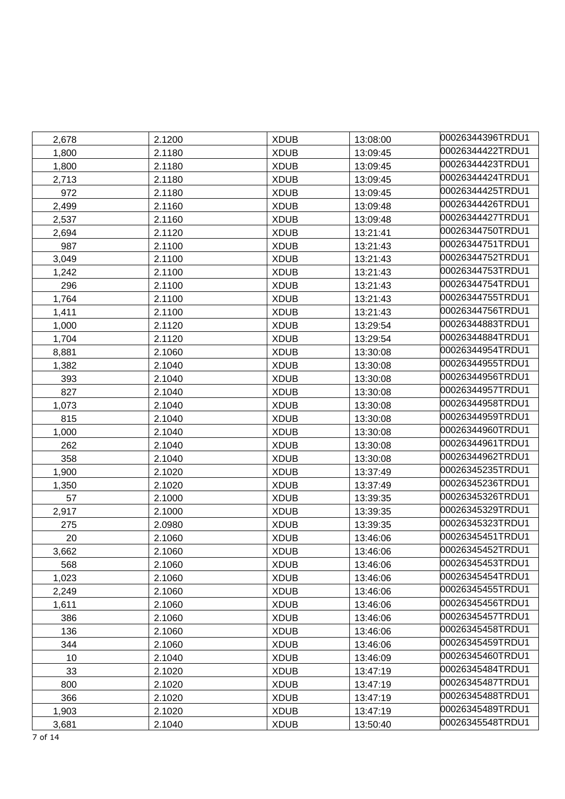| 2,678 | 2.1200 | <b>XDUB</b> | 13:08:00 | 00026344396TRDU1 |
|-------|--------|-------------|----------|------------------|
| 1,800 | 2.1180 | <b>XDUB</b> | 13:09:45 | 00026344422TRDU1 |
| 1,800 | 2.1180 | <b>XDUB</b> | 13:09:45 | 00026344423TRDU1 |
| 2,713 | 2.1180 | <b>XDUB</b> | 13:09:45 | 00026344424TRDU1 |
| 972   | 2.1180 | <b>XDUB</b> | 13:09:45 | 00026344425TRDU1 |
| 2,499 | 2.1160 | <b>XDUB</b> | 13:09:48 | 00026344426TRDU1 |
| 2,537 | 2.1160 | <b>XDUB</b> | 13:09:48 | 00026344427TRDU1 |
| 2,694 | 2.1120 | <b>XDUB</b> | 13:21:41 | 00026344750TRDU1 |
| 987   | 2.1100 | <b>XDUB</b> | 13:21:43 | 00026344751TRDU1 |
| 3,049 | 2.1100 | <b>XDUB</b> | 13:21:43 | 00026344752TRDU1 |
| 1,242 | 2.1100 | <b>XDUB</b> | 13:21:43 | 00026344753TRDU1 |
| 296   | 2.1100 | <b>XDUB</b> | 13:21:43 | 00026344754TRDU1 |
| 1,764 | 2.1100 | <b>XDUB</b> | 13:21:43 | 00026344755TRDU1 |
| 1,411 | 2.1100 | <b>XDUB</b> | 13:21:43 | 00026344756TRDU1 |
| 1,000 | 2.1120 | <b>XDUB</b> | 13:29:54 | 00026344883TRDU1 |
| 1,704 | 2.1120 | <b>XDUB</b> | 13:29:54 | 00026344884TRDU1 |
| 8,881 | 2.1060 | <b>XDUB</b> | 13:30:08 | 00026344954TRDU1 |
| 1,382 | 2.1040 | <b>XDUB</b> | 13:30:08 | 00026344955TRDU1 |
| 393   | 2.1040 | <b>XDUB</b> | 13:30:08 | 00026344956TRDU1 |
| 827   | 2.1040 | <b>XDUB</b> | 13:30:08 | 00026344957TRDU1 |
| 1,073 | 2.1040 | <b>XDUB</b> | 13:30:08 | 00026344958TRDU1 |
| 815   | 2.1040 | <b>XDUB</b> | 13:30:08 | 00026344959TRDU1 |
| 1,000 | 2.1040 | <b>XDUB</b> | 13:30:08 | 00026344960TRDU1 |
| 262   | 2.1040 | <b>XDUB</b> | 13:30:08 | 00026344961TRDU1 |
| 358   | 2.1040 | <b>XDUB</b> | 13:30:08 | 00026344962TRDU1 |
| 1,900 | 2.1020 | <b>XDUB</b> | 13:37:49 | 00026345235TRDU1 |
| 1,350 | 2.1020 | <b>XDUB</b> | 13:37:49 | 00026345236TRDU1 |
| 57    | 2.1000 | <b>XDUB</b> | 13:39:35 | 00026345326TRDU1 |
| 2,917 | 2.1000 | <b>XDUB</b> | 13:39:35 | 00026345329TRDU1 |
| 275   | 2.0980 | <b>XDUB</b> | 13:39:35 | 00026345323TRDU1 |
| 20    | 2.1060 | <b>XDUB</b> | 13:46:06 | 00026345451TRDU1 |
| 3,662 | 2.1060 | <b>XDUB</b> | 13:46:06 | 00026345452TRDU1 |
| 568   | 2.1060 | <b>XDUB</b> | 13:46:06 | 00026345453TRDU1 |
| 1,023 | 2.1060 | <b>XDUB</b> | 13:46:06 | 00026345454TRDU1 |
| 2,249 | 2.1060 | <b>XDUB</b> | 13:46:06 | 00026345455TRDU1 |
| 1,611 | 2.1060 | <b>XDUB</b> | 13:46:06 | 00026345456TRDU1 |
| 386   | 2.1060 | <b>XDUB</b> | 13:46:06 | 00026345457TRDU1 |
| 136   | 2.1060 | <b>XDUB</b> | 13:46:06 | 00026345458TRDU1 |
| 344   | 2.1060 | <b>XDUB</b> | 13:46:06 | 00026345459TRDU1 |
| 10    | 2.1040 | <b>XDUB</b> | 13:46:09 | 00026345460TRDU1 |
| 33    | 2.1020 | <b>XDUB</b> | 13:47:19 | 00026345484TRDU1 |
| 800   | 2.1020 | <b>XDUB</b> | 13:47:19 | 00026345487TRDU1 |
| 366   | 2.1020 | <b>XDUB</b> | 13:47:19 | 00026345488TRDU1 |
| 1,903 | 2.1020 | <b>XDUB</b> | 13:47:19 | 00026345489TRDU1 |
| 3,681 | 2.1040 | <b>XDUB</b> | 13:50:40 | 00026345548TRDU1 |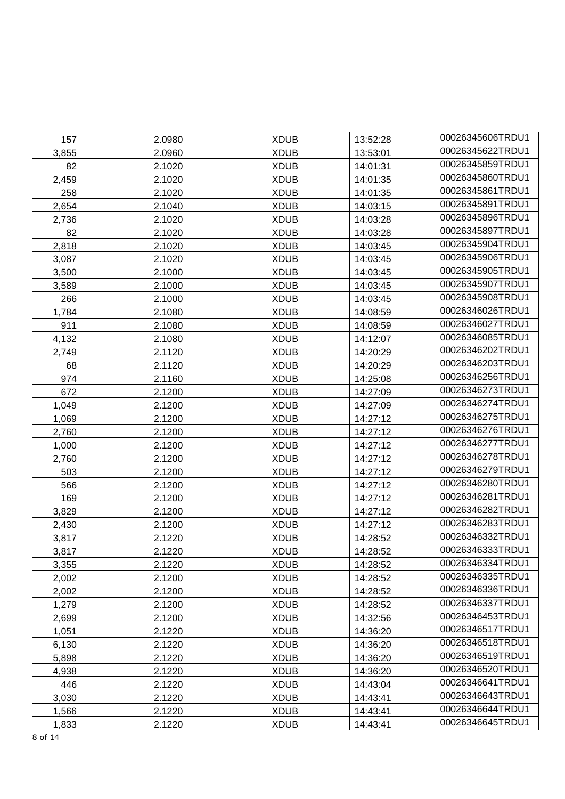| 157   | 2.0980 | <b>XDUB</b> | 13:52:28 | 00026345606TRDU1 |
|-------|--------|-------------|----------|------------------|
| 3,855 | 2.0960 | <b>XDUB</b> | 13:53:01 | 00026345622TRDU1 |
| 82    | 2.1020 | <b>XDUB</b> | 14:01:31 | 00026345859TRDU1 |
| 2,459 | 2.1020 | <b>XDUB</b> | 14:01:35 | 00026345860TRDU1 |
| 258   | 2.1020 | <b>XDUB</b> | 14:01:35 | 00026345861TRDU1 |
| 2,654 | 2.1040 | <b>XDUB</b> | 14:03:15 | 00026345891TRDU1 |
| 2,736 | 2.1020 | <b>XDUB</b> | 14:03:28 | 00026345896TRDU1 |
| 82    | 2.1020 | <b>XDUB</b> | 14:03:28 | 00026345897TRDU1 |
| 2,818 | 2.1020 | <b>XDUB</b> | 14:03:45 | 00026345904TRDU1 |
| 3,087 | 2.1020 | <b>XDUB</b> | 14:03:45 | 00026345906TRDU1 |
| 3,500 | 2.1000 | <b>XDUB</b> | 14:03:45 | 00026345905TRDU1 |
| 3,589 | 2.1000 | <b>XDUB</b> | 14:03:45 | 00026345907TRDU1 |
| 266   | 2.1000 | <b>XDUB</b> | 14:03:45 | 00026345908TRDU1 |
| 1,784 | 2.1080 | <b>XDUB</b> | 14:08:59 | 00026346026TRDU1 |
| 911   | 2.1080 | <b>XDUB</b> | 14:08:59 | 00026346027TRDU1 |
| 4,132 | 2.1080 | <b>XDUB</b> | 14:12:07 | 00026346085TRDU1 |
| 2,749 | 2.1120 | <b>XDUB</b> | 14:20:29 | 00026346202TRDU1 |
| 68    | 2.1120 | <b>XDUB</b> | 14:20:29 | 00026346203TRDU1 |
| 974   | 2.1160 | <b>XDUB</b> | 14:25:08 | 00026346256TRDU1 |
| 672   | 2.1200 | <b>XDUB</b> | 14:27:09 | 00026346273TRDU1 |
| 1,049 | 2.1200 | <b>XDUB</b> | 14:27:09 | 00026346274TRDU1 |
| 1,069 | 2.1200 | <b>XDUB</b> | 14:27:12 | 00026346275TRDU1 |
| 2,760 | 2.1200 | <b>XDUB</b> | 14:27:12 | 00026346276TRDU1 |
| 1,000 | 2.1200 | <b>XDUB</b> | 14:27:12 | 00026346277TRDU1 |
| 2,760 | 2.1200 | <b>XDUB</b> | 14:27:12 | 00026346278TRDU1 |
| 503   | 2.1200 | <b>XDUB</b> | 14:27:12 | 00026346279TRDU1 |
| 566   | 2.1200 | <b>XDUB</b> | 14:27:12 | 00026346280TRDU1 |
| 169   | 2.1200 | <b>XDUB</b> | 14:27:12 | 00026346281TRDU1 |
| 3,829 | 2.1200 | <b>XDUB</b> | 14:27:12 | 00026346282TRDU1 |
| 2,430 | 2.1200 | <b>XDUB</b> | 14:27:12 | 00026346283TRDU1 |
| 3,817 | 2.1220 | <b>XDUB</b> | 14:28:52 | 00026346332TRDU1 |
| 3,817 | 2.1220 | <b>XDUB</b> | 14:28:52 | 00026346333TRDU1 |
| 3,355 | 2.1220 | <b>XDUB</b> | 14:28:52 | 00026346334TRDU1 |
| 2,002 | 2.1200 | <b>XDUB</b> | 14:28:52 | 00026346335TRDU1 |
| 2,002 | 2.1200 | <b>XDUB</b> | 14:28:52 | 00026346336TRDU1 |
| 1,279 | 2.1200 | <b>XDUB</b> | 14:28:52 | 00026346337TRDU1 |
| 2,699 | 2.1200 | <b>XDUB</b> | 14:32:56 | 00026346453TRDU1 |
| 1,051 | 2.1220 | <b>XDUB</b> | 14:36:20 | 00026346517TRDU1 |
| 6,130 | 2.1220 | <b>XDUB</b> | 14:36:20 | 00026346518TRDU1 |
| 5,898 | 2.1220 | <b>XDUB</b> | 14:36:20 | 00026346519TRDU1 |
| 4,938 | 2.1220 | <b>XDUB</b> | 14:36:20 | 00026346520TRDU1 |
| 446   | 2.1220 | <b>XDUB</b> | 14:43:04 | 00026346641TRDU1 |
| 3,030 | 2.1220 | <b>XDUB</b> | 14:43:41 | 00026346643TRDU1 |
| 1,566 | 2.1220 | <b>XDUB</b> | 14:43:41 | 00026346644TRDU1 |
| 1,833 | 2.1220 | <b>XDUB</b> | 14:43:41 | 00026346645TRDU1 |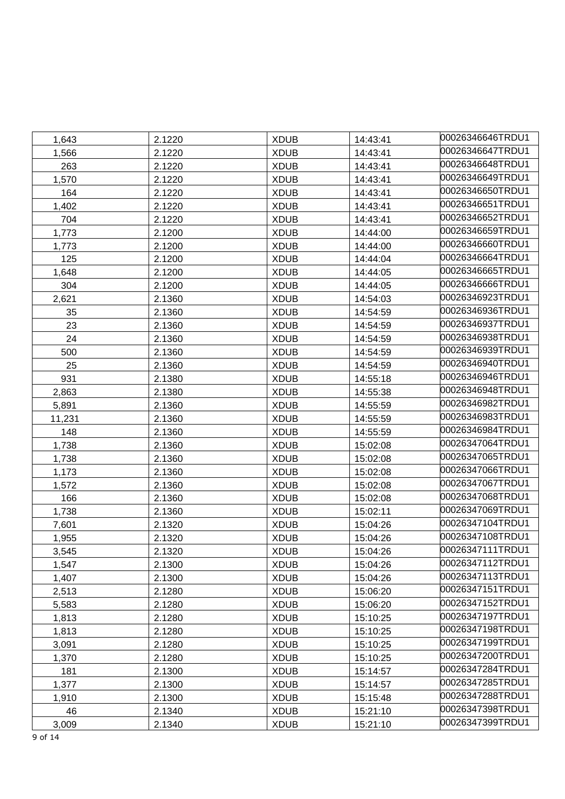| 1,643  | 2.1220 | <b>XDUB</b> | 14:43:41 | 00026346646TRDU1  |
|--------|--------|-------------|----------|-------------------|
| 1,566  | 2.1220 | <b>XDUB</b> | 14:43:41 | 00026346647TRDU1  |
| 263    | 2.1220 | <b>XDUB</b> | 14:43:41 | 00026346648TRDU1  |
| 1,570  | 2.1220 | <b>XDUB</b> | 14:43:41 | 00026346649TRDU1  |
| 164    | 2.1220 | <b>XDUB</b> | 14:43:41 | 00026346650TRDU1  |
| 1,402  | 2.1220 | <b>XDUB</b> | 14:43:41 | l00026346651TRDU1 |
| 704    | 2.1220 | <b>XDUB</b> | 14:43:41 | 00026346652TRDU1  |
| 1,773  | 2.1200 | <b>XDUB</b> | 14:44:00 | 00026346659TRDU1  |
| 1,773  | 2.1200 | <b>XDUB</b> | 14:44:00 | 00026346660TRDU1  |
| 125    | 2.1200 | <b>XDUB</b> | 14:44:04 | 00026346664TRDU1  |
| 1,648  | 2.1200 | <b>XDUB</b> | 14:44:05 | 00026346665TRDU1  |
| 304    | 2.1200 | <b>XDUB</b> | 14:44:05 | l00026346666TRDU1 |
| 2,621  | 2.1360 | <b>XDUB</b> | 14:54:03 | 00026346923TRDU1  |
| 35     | 2.1360 | <b>XDUB</b> | 14:54:59 | 00026346936TRDU1  |
| 23     | 2.1360 | <b>XDUB</b> | 14:54:59 | 00026346937TRDU1  |
| 24     | 2.1360 | <b>XDUB</b> | 14:54:59 | 00026346938TRDU1  |
| 500    | 2.1360 | <b>XDUB</b> | 14:54:59 | 00026346939TRDU1  |
| 25     | 2.1360 | <b>XDUB</b> | 14:54:59 | 00026346940TRDU1  |
| 931    | 2.1380 | <b>XDUB</b> | 14:55:18 | 00026346946TRDU1  |
| 2,863  | 2.1380 | <b>XDUB</b> | 14:55:38 | 00026346948TRDU1  |
| 5,891  | 2.1360 | <b>XDUB</b> | 14:55:59 | 00026346982TRDU1  |
| 11,231 | 2.1360 | <b>XDUB</b> | 14:55:59 | 00026346983TRDU1  |
| 148    | 2.1360 | <b>XDUB</b> | 14:55:59 | 00026346984TRDU1  |
| 1,738  | 2.1360 | <b>XDUB</b> | 15:02:08 | 00026347064TRDU1  |
| 1,738  | 2.1360 | <b>XDUB</b> | 15:02:08 | 00026347065TRDU1  |
| 1,173  | 2.1360 | <b>XDUB</b> | 15:02:08 | 00026347066TRDU1  |
| 1,572  | 2.1360 | <b>XDUB</b> | 15:02:08 | 00026347067TRDU1  |
| 166    | 2.1360 | <b>XDUB</b> | 15:02:08 | 00026347068TRDU1  |
| 1,738  | 2.1360 | <b>XDUB</b> | 15:02:11 | 00026347069TRDU1  |
| 7,601  | 2.1320 | <b>XDUB</b> | 15:04:26 | 00026347104TRDU1  |
| 1,955  | 2.1320 | <b>XDUB</b> | 15:04:26 | 00026347108TRDU1  |
| 3.545  | 2.1320 | <b>XDUB</b> | 15:04:26 | 00026347111TRDU1  |
| 1,547  | 2.1300 | <b>XDUB</b> | 15:04:26 | 00026347112TRDU1  |
| 1,407  | 2.1300 | <b>XDUB</b> | 15:04:26 | 00026347113TRDU1  |
| 2,513  | 2.1280 | <b>XDUB</b> | 15:06:20 | 00026347151TRDU1  |
| 5,583  | 2.1280 | <b>XDUB</b> | 15:06:20 | 00026347152TRDU1  |
| 1,813  | 2.1280 | <b>XDUB</b> | 15:10:25 | 00026347197TRDU1  |
| 1,813  | 2.1280 | <b>XDUB</b> | 15:10:25 | 00026347198TRDU1  |
| 3,091  | 2.1280 | <b>XDUB</b> | 15:10:25 | 00026347199TRDU1  |
| 1,370  | 2.1280 | <b>XDUB</b> | 15:10:25 | 00026347200TRDU1  |
| 181    | 2.1300 | <b>XDUB</b> | 15:14:57 | 00026347284TRDU1  |
| 1,377  | 2.1300 | <b>XDUB</b> | 15:14:57 | 00026347285TRDU1  |
| 1,910  | 2.1300 | <b>XDUB</b> | 15:15:48 | 00026347288TRDU1  |
| 46     | 2.1340 | <b>XDUB</b> | 15:21:10 | 00026347398TRDU1  |
| 3,009  | 2.1340 | <b>XDUB</b> | 15:21:10 | 00026347399TRDU1  |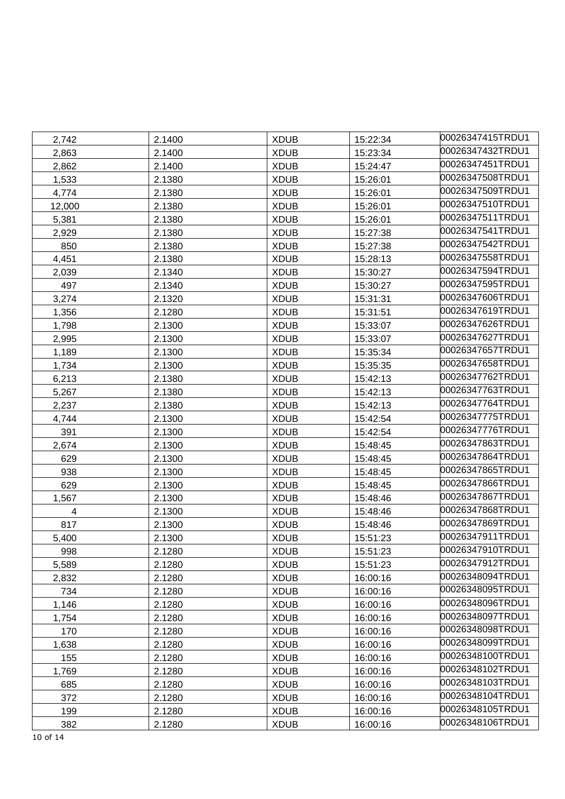| 2,742  | 2.1400 | <b>XDUB</b> | 15:22:34 | 00026347415TRDU1 |
|--------|--------|-------------|----------|------------------|
| 2,863  | 2.1400 | <b>XDUB</b> | 15:23:34 | 00026347432TRDU1 |
| 2,862  | 2.1400 | <b>XDUB</b> | 15:24:47 | 00026347451TRDU1 |
| 1,533  | 2.1380 | <b>XDUB</b> | 15:26:01 | 00026347508TRDU1 |
| 4,774  | 2.1380 | <b>XDUB</b> | 15:26:01 | 00026347509TRDU1 |
| 12,000 | 2.1380 | <b>XDUB</b> | 15:26:01 | 00026347510TRDU1 |
| 5,381  | 2.1380 | <b>XDUB</b> | 15:26:01 | 00026347511TRDU1 |
| 2,929  | 2.1380 | <b>XDUB</b> | 15:27:38 | 00026347541TRDU1 |
| 850    | 2.1380 | <b>XDUB</b> | 15:27:38 | 00026347542TRDU1 |
| 4,451  | 2.1380 | <b>XDUB</b> | 15:28:13 | 00026347558TRDU1 |
| 2,039  | 2.1340 | <b>XDUB</b> | 15:30:27 | 00026347594TRDU1 |
| 497    | 2.1340 | <b>XDUB</b> | 15:30:27 | 00026347595TRDU1 |
| 3,274  | 2.1320 | <b>XDUB</b> | 15:31:31 | 00026347606TRDU1 |
| 1,356  | 2.1280 | <b>XDUB</b> | 15:31:51 | 00026347619TRDU1 |
| 1,798  | 2.1300 | <b>XDUB</b> | 15:33:07 | 00026347626TRDU1 |
| 2,995  | 2.1300 | <b>XDUB</b> | 15:33:07 | 00026347627TRDU1 |
| 1,189  | 2.1300 | <b>XDUB</b> | 15:35:34 | 00026347657TRDU1 |
| 1,734  | 2.1300 | <b>XDUB</b> | 15:35:35 | 00026347658TRDU1 |
| 6,213  | 2.1380 | <b>XDUB</b> | 15:42:13 | 00026347762TRDU1 |
| 5,267  | 2.1380 | <b>XDUB</b> | 15:42:13 | 00026347763TRDU1 |
| 2,237  | 2.1380 | <b>XDUB</b> | 15:42:13 | 00026347764TRDU1 |
| 4,744  | 2.1300 | <b>XDUB</b> | 15:42:54 | 00026347775TRDU1 |
| 391    | 2.1300 | <b>XDUB</b> | 15:42:54 | 00026347776TRDU1 |
| 2,674  | 2.1300 | <b>XDUB</b> | 15:48:45 | 00026347863TRDU1 |
| 629    | 2.1300 | <b>XDUB</b> | 15:48:45 | 00026347864TRDU1 |
| 938    | 2.1300 | <b>XDUB</b> | 15:48:45 | 00026347865TRDU1 |
| 629    | 2.1300 | <b>XDUB</b> | 15:48:45 | 00026347866TRDU1 |
| 1,567  | 2.1300 | <b>XDUB</b> | 15:48:46 | 00026347867TRDU1 |
| 4      | 2.1300 | <b>XDUB</b> | 15:48:46 | 00026347868TRDU1 |
| 817    | 2.1300 | <b>XDUB</b> | 15:48:46 | 00026347869TRDU1 |
| 5,400  | 2.1300 | <b>XDUB</b> | 15:51:23 | 00026347911TRDU1 |
| 998    | 2.1280 | <b>XDUB</b> | 15:51:23 | 00026347910TRDU1 |
| 5,589  | 2.1280 | <b>XDUB</b> | 15:51:23 | 00026347912TRDU1 |
| 2,832  | 2.1280 | <b>XDUB</b> | 16:00:16 | 00026348094TRDU1 |
| 734    | 2.1280 | <b>XDUB</b> | 16:00:16 | 00026348095TRDU1 |
| 1,146  | 2.1280 | <b>XDUB</b> | 16:00:16 | 00026348096TRDU1 |
| 1,754  | 2.1280 | <b>XDUB</b> | 16:00:16 | 00026348097TRDU1 |
| 170    | 2.1280 | <b>XDUB</b> | 16:00:16 | 00026348098TRDU1 |
| 1,638  | 2.1280 | <b>XDUB</b> | 16:00:16 | 00026348099TRDU1 |
| 155    | 2.1280 | <b>XDUB</b> | 16:00:16 | 00026348100TRDU1 |
| 1,769  | 2.1280 | <b>XDUB</b> | 16:00:16 | 00026348102TRDU1 |
| 685    | 2.1280 | <b>XDUB</b> | 16:00:16 | 00026348103TRDU1 |
| 372    | 2.1280 | <b>XDUB</b> | 16:00:16 | 00026348104TRDU1 |
| 199    | 2.1280 | <b>XDUB</b> | 16:00:16 | 00026348105TRDU1 |
| 382    | 2.1280 | <b>XDUB</b> | 16:00:16 | 00026348106TRDU1 |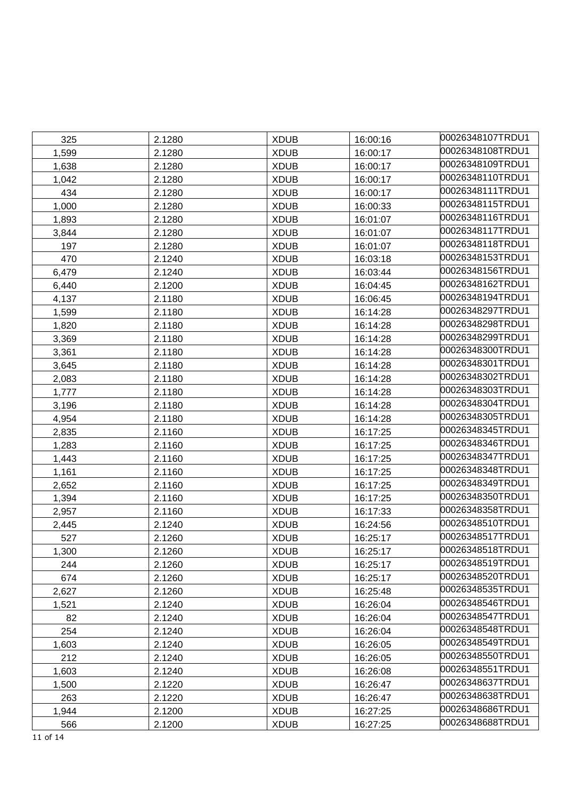| 325   | 2.1280 | <b>XDUB</b> | 16:00:16 | 00026348107TRDU1 |
|-------|--------|-------------|----------|------------------|
| 1,599 | 2.1280 | <b>XDUB</b> | 16:00:17 | 00026348108TRDU1 |
| 1,638 | 2.1280 | <b>XDUB</b> | 16:00:17 | 00026348109TRDU1 |
| 1,042 | 2.1280 | <b>XDUB</b> | 16:00:17 | 00026348110TRDU1 |
| 434   | 2.1280 | <b>XDUB</b> | 16:00:17 | 00026348111TRDU1 |
| 1,000 | 2.1280 | <b>XDUB</b> | 16:00:33 | 00026348115TRDU1 |
| 1,893 | 2.1280 | <b>XDUB</b> | 16:01:07 | 00026348116TRDU1 |
| 3,844 | 2.1280 | <b>XDUB</b> | 16:01:07 | 00026348117TRDU1 |
| 197   | 2.1280 | <b>XDUB</b> | 16:01:07 | 00026348118TRDU1 |
| 470   | 2.1240 | <b>XDUB</b> | 16:03:18 | 00026348153TRDU1 |
| 6,479 | 2.1240 | <b>XDUB</b> | 16:03:44 | 00026348156TRDU1 |
| 6,440 | 2.1200 | <b>XDUB</b> | 16:04:45 | 00026348162TRDU1 |
| 4,137 | 2.1180 | <b>XDUB</b> | 16:06:45 | 00026348194TRDU1 |
| 1,599 | 2.1180 | <b>XDUB</b> | 16:14:28 | 00026348297TRDU1 |
| 1,820 | 2.1180 | <b>XDUB</b> | 16:14:28 | 00026348298TRDU1 |
| 3,369 | 2.1180 | <b>XDUB</b> | 16:14:28 | 00026348299TRDU1 |
| 3,361 | 2.1180 | <b>XDUB</b> | 16:14:28 | 00026348300TRDU1 |
| 3,645 | 2.1180 | <b>XDUB</b> | 16:14:28 | 00026348301TRDU1 |
| 2,083 | 2.1180 | <b>XDUB</b> | 16:14:28 | 00026348302TRDU1 |
| 1,777 | 2.1180 | <b>XDUB</b> | 16:14:28 | 00026348303TRDU1 |
| 3,196 | 2.1180 | <b>XDUB</b> | 16:14:28 | 00026348304TRDU1 |
| 4,954 | 2.1180 | <b>XDUB</b> | 16:14:28 | 00026348305TRDU1 |
| 2,835 | 2.1160 | <b>XDUB</b> | 16:17:25 | 00026348345TRDU1 |
| 1,283 | 2.1160 | <b>XDUB</b> | 16:17:25 | 00026348346TRDU1 |
| 1,443 | 2.1160 | <b>XDUB</b> | 16:17:25 | 00026348347TRDU1 |
| 1,161 | 2.1160 | <b>XDUB</b> | 16:17:25 | 00026348348TRDU1 |
| 2,652 | 2.1160 | <b>XDUB</b> | 16:17:25 | 00026348349TRDU1 |
| 1,394 | 2.1160 | <b>XDUB</b> | 16:17:25 | 00026348350TRDU1 |
| 2,957 | 2.1160 | <b>XDUB</b> | 16:17:33 | 00026348358TRDU1 |
| 2,445 | 2.1240 | <b>XDUB</b> | 16:24:56 | 00026348510TRDU1 |
| 527   | 2.1260 | <b>XDUB</b> | 16:25:17 | 00026348517TRDU1 |
| 1,300 | 2.1260 | <b>XDUB</b> | 16:25:17 | 00026348518TRDU1 |
| 244   | 2.1260 | <b>XDUB</b> | 16:25:17 | 00026348519TRDU1 |
| 674   | 2.1260 | <b>XDUB</b> | 16:25:17 | 00026348520TRDU1 |
| 2,627 | 2.1260 | <b>XDUB</b> | 16:25:48 | 00026348535TRDU1 |
| 1,521 | 2.1240 | <b>XDUB</b> | 16:26:04 | 00026348546TRDU1 |
| 82    | 2.1240 | <b>XDUB</b> | 16:26:04 | 00026348547TRDU1 |
| 254   | 2.1240 | <b>XDUB</b> | 16:26:04 | 00026348548TRDU1 |
| 1,603 | 2.1240 | <b>XDUB</b> | 16:26:05 | 00026348549TRDU1 |
| 212   | 2.1240 | <b>XDUB</b> | 16:26:05 | 00026348550TRDU1 |
| 1,603 | 2.1240 | <b>XDUB</b> | 16:26:08 | 00026348551TRDU1 |
| 1,500 | 2.1220 | <b>XDUB</b> | 16:26:47 | 00026348637TRDU1 |
| 263   | 2.1220 | <b>XDUB</b> | 16:26:47 | 00026348638TRDU1 |
| 1,944 | 2.1200 | <b>XDUB</b> | 16:27:25 | 00026348686TRDU1 |
| 566   | 2.1200 | <b>XDUB</b> | 16:27:25 | 00026348688TRDU1 |